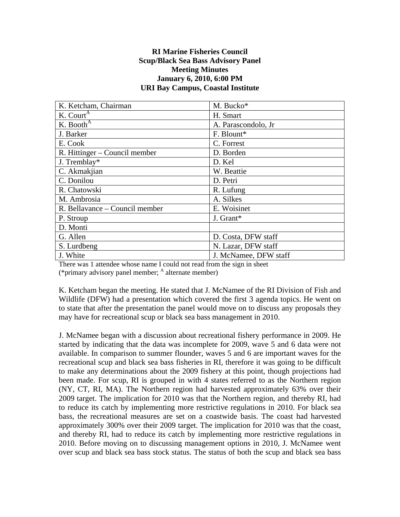## **RI Marine Fisheries Council Scup/Black Sea Bass Advisory Panel Meeting Minutes January 6, 2010, 6:00 PM URI Bay Campus, Coastal Institute**

| K. Ketcham, Chairman            | M. Bucko*             |
|---------------------------------|-----------------------|
| K. Court <sup>A</sup>           | H. Smart              |
| K. Booth $\overline{A}$         | A. Parascondolo, Jr.  |
| J. Barker                       | F. Blount*            |
| E. Cook                         | C. Forrest            |
| $R. Hittinger - Council member$ | D. Borden             |
| J. Tremblay*                    | D. Kel                |
| C. Akmakjian                    | W. Beattie            |
| C. Donilou                      | D. Petri              |
| R. Chatowski                    | R. Lufung             |
| M. Ambrosia                     | A. Silkes             |
| R. Bellavance – Council member  | E. Woisinet           |
| P. Stroup                       | J. Grant*             |
| D. Monti                        |                       |
| G. Allen                        | D. Costa, DFW staff   |
| S. Lurdbeng                     | N. Lazar, DFW staff   |
| J. White                        | J. McNamee, DFW staff |

There was 1 attendee whose name I could not read from the sign in sheet (\*primary advisory panel member; <sup>A</sup> alternate member)

K. Ketcham began the meeting. He stated that J. McNamee of the RI Division of Fish and Wildlife (DFW) had a presentation which covered the first 3 agenda topics. He went on to state that after the presentation the panel would move on to discuss any proposals they may have for recreational scup or black sea bass management in 2010.

J. McNamee began with a discussion about recreational fishery performance in 2009. He started by indicating that the data was incomplete for 2009, wave 5 and 6 data were not available. In comparison to summer flounder, waves 5 and 6 are important waves for the recreational scup and black sea bass fisheries in RI, therefore it was going to be difficult to make any determinations about the 2009 fishery at this point, though projections had been made. For scup, RI is grouped in with 4 states referred to as the Northern region (NY, CT, RI, MA). The Northern region had harvested approximately 63% over their 2009 target. The implication for 2010 was that the Northern region, and thereby RI, had to reduce its catch by implementing more restrictive regulations in 2010. For black sea bass, the recreational measures are set on a coastwide basis. The coast had harvested approximately 300% over their 2009 target. The implication for 2010 was that the coast, and thereby RI, had to reduce its catch by implementing more restrictive regulations in 2010. Before moving on to discussing management options in 2010, J. McNamee went over scup and black sea bass stock status. The status of both the scup and black sea bass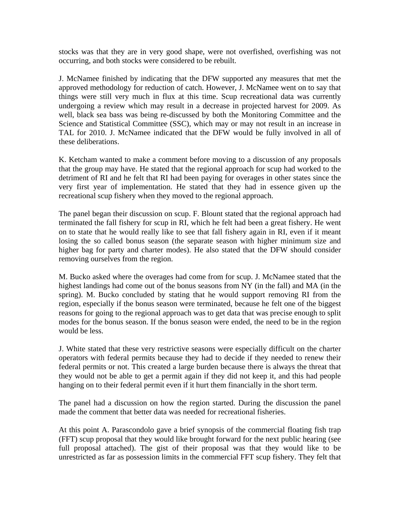stocks was that they are in very good shape, were not overfished, overfishing was not occurring, and both stocks were considered to be rebuilt.

J. McNamee finished by indicating that the DFW supported any measures that met the approved methodology for reduction of catch. However, J. McNamee went on to say that things were still very much in flux at this time. Scup recreational data was currently undergoing a review which may result in a decrease in projected harvest for 2009. As well, black sea bass was being re-discussed by both the Monitoring Committee and the Science and Statistical Committee (SSC), which may or may not result in an increase in TAL for 2010. J. McNamee indicated that the DFW would be fully involved in all of these deliberations.

K. Ketcham wanted to make a comment before moving to a discussion of any proposals that the group may have. He stated that the regional approach for scup had worked to the detriment of RI and he felt that RI had been paying for overages in other states since the very first year of implementation. He stated that they had in essence given up the recreational scup fishery when they moved to the regional approach.

The panel began their discussion on scup. F. Blount stated that the regional approach had terminated the fall fishery for scup in RI, which he felt had been a great fishery. He went on to state that he would really like to see that fall fishery again in RI, even if it meant losing the so called bonus season (the separate season with higher minimum size and higher bag for party and charter modes). He also stated that the DFW should consider removing ourselves from the region.

M. Bucko asked where the overages had come from for scup. J. McNamee stated that the highest landings had come out of the bonus seasons from NY (in the fall) and MA (in the spring). M. Bucko concluded by stating that he would support removing RI from the region, especially if the bonus season were terminated, because he felt one of the biggest reasons for going to the regional approach was to get data that was precise enough to split modes for the bonus season. If the bonus season were ended, the need to be in the region would be less.

J. White stated that these very restrictive seasons were especially difficult on the charter operators with federal permits because they had to decide if they needed to renew their federal permits or not. This created a large burden because there is always the threat that they would not be able to get a permit again if they did not keep it, and this had people hanging on to their federal permit even if it hurt them financially in the short term.

The panel had a discussion on how the region started. During the discussion the panel made the comment that better data was needed for recreational fisheries.

At this point A. Parascondolo gave a brief synopsis of the commercial floating fish trap (FFT) scup proposal that they would like brought forward for the next public hearing (see full proposal attached). The gist of their proposal was that they would like to be unrestricted as far as possession limits in the commercial FFT scup fishery. They felt that